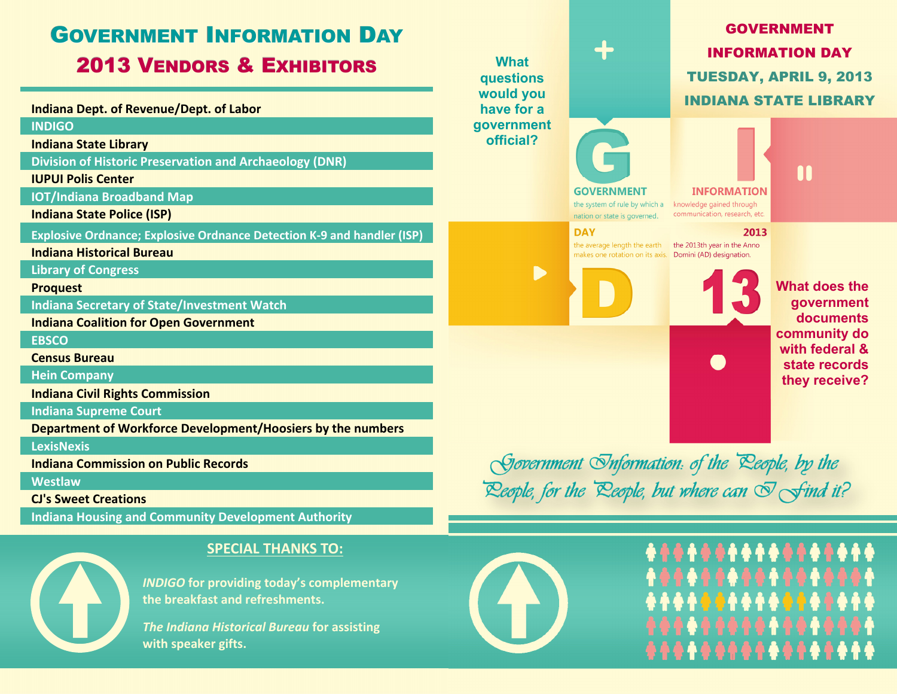



#### **SPECIAL THANKS TO:**

*INDIGO* **for providing today's complementary the breakfast and refreshments.**

*The Indiana Historical Bureau* **for assisting with speaker gifts.**



# \*\*\*\*\*\*\*\*\*\*\*\*\*\*\*\*\*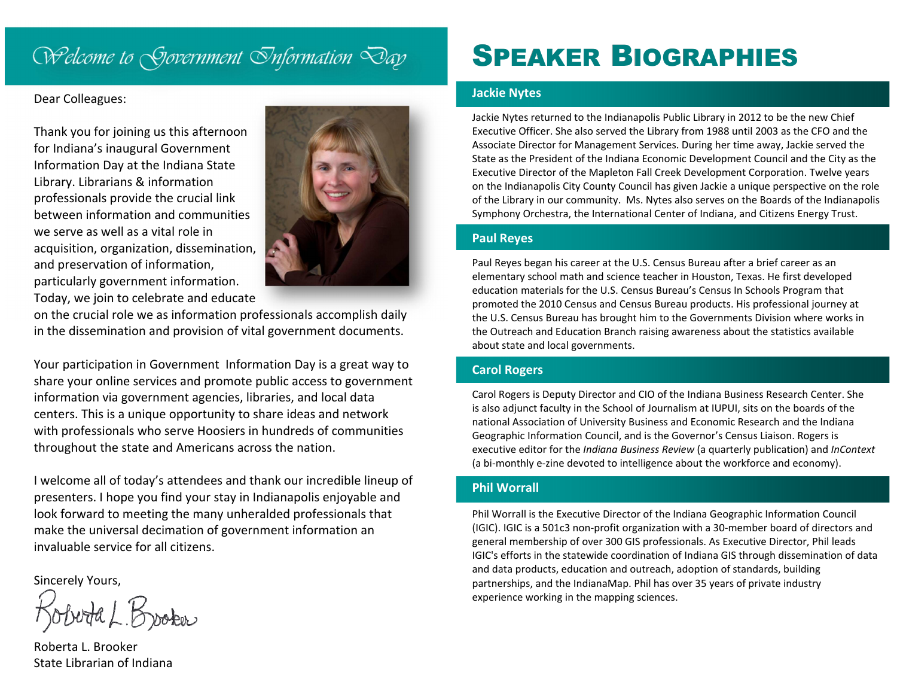### Welcome to Sjovernment Onformation Day

#### Dear Colleagues:

Thank you for joining us this afternoon for Indiana's inaugural Government Information Day at the Indiana State Library. Librarians & information professionals provide the crucial link between information and communities we serve as well as <sup>a</sup> vital role inacquisition, organization, dissemination, and preservation of information, particularly government information. Today, we join to celebrate and educate



on the crucial role we as information professionals accomplish daily in the dissemination and provision of vital government documents.

Your participation in Government Information Day is <sup>a</sup> great way to share your online services and promote public access to government information via government agencies, libraries, and local data centers. This is a unique opportunity to share ideas and network with professionals who serve Hoosiers in hundreds of communities throughout the state and Americans across the nation.

I welcome all of today's attendees and thank our incredible lineup of presenters. I hope you find your stay in Indianapolis enjoyable and look forward to meeting the many unheralded professionals that make the universal decimation of government information an invaluable service for all citizens.

Sincerely Yours,

Broker

Roberta L. Brooker State Librarian of Indiana

## SPEAKER BIOGRAPHIES

#### **Jackie Nytes**

Jackie Nytes returned to the Indianapolis Public Library in 2012 to be the new Chief Executive Officer. She also served the Library from 1988 until 2003 as the CFO and the Associate Director for Management Services. During her time away, Jackie served the State as the President of the Indiana Economic Development Council and the City as the Executive Director of the Mapleton Fall Creek Development Corporation. Twelve years on the Indianapolis City County Council has given Jackie <sup>a</sup> unique perspective on the role of the Library in our community. Ms. Nytes also serves on the Boards of the Indianapolis Symphony Orchestra, the International Center of Indiana, and Citizens Energy Trust.

#### **Paul Reyes**

Paul Reyes began his career at the U.S. Census Bureau after <sup>a</sup> brief career as an elementary school math and science teacher in Houston, Texas. He first developed education materials for the U.S. Census Bureau's Census In Schools Program that promoted the 2010 Census and Census Bureau products. His professional journey at the U.S. Census Bureau has brought him to the Governments Division where works in the Outreach and Education Branch raising awareness about the statistics available about state and local governments.

#### **Carol Rogers**

Carol Rogers is Deputy Director and CIO of the Indiana Business Research Center. She is also adjunct faculty in the School of Journalism at IUPUI, sits on the boards of the national Association of University Business and Economic Research and the Indiana Geographic Information Council, and is the Governor's Census Liaison. Rogers is executive editor for the *Indiana Business Review* (a quarterly publication) and *InContext* (a bi-monthly e-zine devoted to intelligence about the workforce and economy).

#### **Phil Worrall**

Phil Worrall is the Executive Director of the Indiana Geographic Information Council (IGIC). IGIC is <sup>a</sup> 501c3 non‐profit organization with <sup>a</sup> 30‐member board of directors and general membership of over 300 GIS professionals. As Executive Director, Phil leads IGIC's efforts in the statewide coordination of Indiana GIS through dissemination of data and data products, education and outreach, adoption of standards, building partnerships, and the IndianaMap. Phil has over 35 years of private industry experience working in the mapping sciences.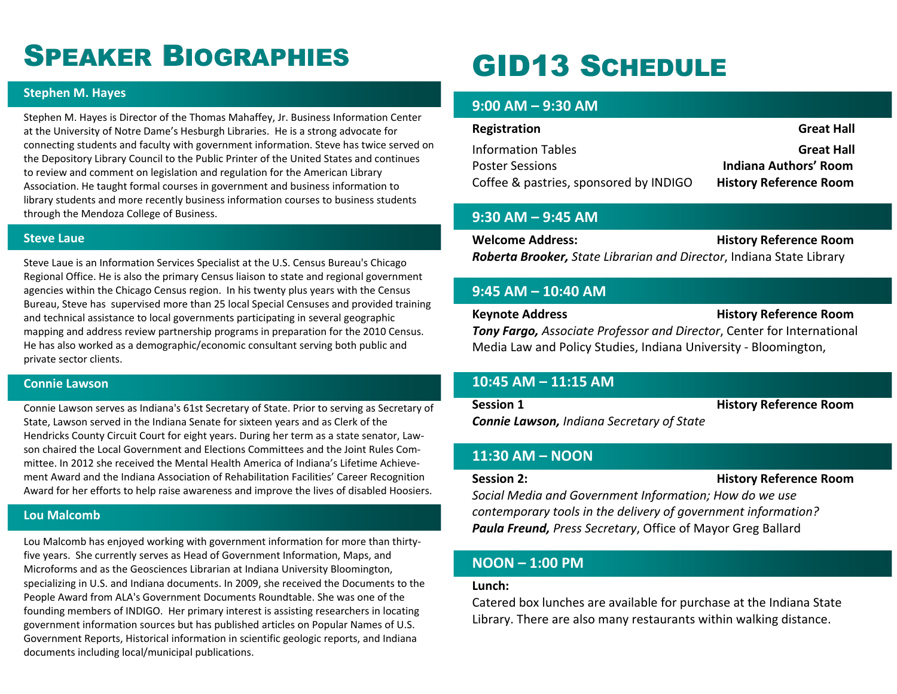## SPEAKER BIOGRAPHIES

#### **Stephen M. Hayes**

Stephen M. Hayes is Director of the Thomas Mahaffey, Jr. Business Information Center at the University of Notre Dame's Hesburgh Libraries. He is <sup>a</sup> strong advocate for connecting students and faculty with government information. Steve has twice served on the Depository Library Council to the Public Printer of the United States and continues to review and comment on legislation and regulation for the American Library Association. He taught formal courses in government and business information to library students and more recently business information courses to business students through the Mendoza College of Business.

#### **Steve Laue**

Steve Laue is an Information Services Specialist at the U.S. Census Bureau's Chicago Regional Office. He is also the primary Census liaison to state and regional government agencies within the Chicago Census region. In his twenty plus years with the Census Bureau, Steve has supervised more than 25 local Special Censuses and provided training and technical assistance to local governments participating in several geographic mapping and address review partnership programs in preparation for the 2010 Census. He has also worked as <sup>a</sup> demographic/economic consultant serving both public and private sector clients.

#### **Connie Lawson**

Connie Lawson serves as Indiana's 61st Secretary of State. Prior to serving as Secretary of State, Lawson served in the Indiana Senate for sixteen years and as Clerk of the Hendricks County Circuit Court for eight years. During her term as <sup>a</sup> state senator, Law‐ son chaired the Local Government and Elections Committees and the Joint Rules Com‐ mittee. In 2012 she received the Mental Health America of Indiana's Lifetime Achieve‐ ment Award and the Indiana Association of Rehabilitation Facilities' Career Recognition Award for her efforts to help raise awareness and improve the lives of disabled Hoosiers.

#### **Lou Malcomb**

Lou Malcomb has enjoyed working with government information for more than thirty‐ five years. She currently serves as Head of Government Information, Maps, and Microforms and as the Geosciences Librarian at Indiana University Bloomington, specializing in U.S. and Indiana documents. In 2009, she received the Documents to the People Award from ALA's Government Documents Roundtable. She was one of the founding members of INDIGO. Her primary interest is assisting researchers in locating government information sources but has published articles on Popular Names of U.S. Government Reports, Historical information in scientific geologic reports, and Indiana documents including local/municipal publications.

## GID13 SCHEDULE

#### **9:00 AM – 9:30 AM**

| Registration                           | <b>Great Hall</b>             |
|----------------------------------------|-------------------------------|
| <b>Information Tables</b>              | <b>Great Hall</b>             |
| <b>Poster Sessions</b>                 | <b>Indiana Authors' Room</b>  |
| Coffee & pastries, sponsored by INDIGO | <b>History Reference Room</b> |

#### **9:30 AM – 9:45 AM**

**Welcome Address: History Reference Room** *Roberta Brooker, State Librarian and Director*, Indiana State Library

#### **9:45 AM – 10:40 AM**

**Keynote Address History Reference Room** *Tony Fargo, Associate Professor and Director*, Center for International Media Law and Policy Studies, Indiana University ‐ Bloomington,

#### **10:45 AM – 11:15 AM**

**Session**

**1 History Reference Room**

*Connie Lawson, Indiana Secretary of State*

#### **11:30 AM – NOON**

#### **Session**

**2: History Reference Room**

*Social Media and Government Information; How do we use contemporary tools in the delivery of government information? Paula Freund, Press Secretary*, Office of Mayor Greg Ballard

#### **NOON – 1:00 PM**

#### **Lunch:**

Catered box lunches are available for purchase at the Indiana State Library. There are also many restaurants within walking distance.